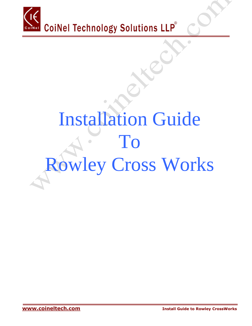

# Installation Guide To  $\begin{array}{c} \begin{array}{c} \hline \end{array} \end{array}$ Rowley Cross Works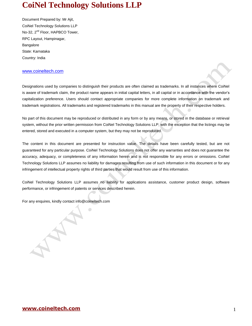Document Prepared by: Mr Ajit, CoiNel Technology Solutions LLP No-32, 2<sup>nd</sup> Floor, HAPBCO Tower, RPC Layout, Hampinagar, Bangalore State: Karnataka Country: India

#### [www.coineltech.com](http://www.coineltech.com/)

Designations used by companies to distinguish their products are often claimed as trademarks. In all instances where CoiNel is aware of trademark claim, the product name appears in initial capital letters, in all capital or in accordance with the vendor's capitalization preference. Users should contact appropriate companies for more complete information on trademark and trademark registrations. All trademarks and registered trademarks in this manual are the property of their respective holders.

No part of this document may be reproduced or distributed in any form or by any means, or stored in the database or retrieval system, without the prior written permission from CoiNel Technology Solutions LLP; with the exception that the listings may be entered, stored and executed in a computer system, but they may not be reproduced.

The content in this document are presented for instruction value. The details have been carefully tested, but are not guaranteed for any particular purpose. CoiNel Technology Solutions does not offer any warranties and does not guarantee the accuracy, adequacy, or completeness of any information herein and is not responsible for any errors or omissions. CoiNel Technology Solutions LLP assumes no liability for damages resulting from use of such information in this document or for any infringement of intellectual property rights of third parties that would result from use of this information.

CoiNel Technology Solutions LLP assumes no liability for applications assistance, customer product design, software performance, or infringement of patents or services described herein.

For any enquires, kindly contact info@coineltech.com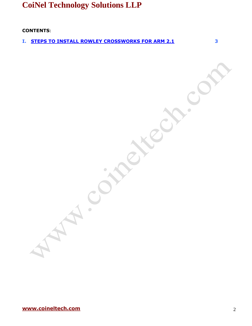**CONTENTS:**

**I. [STEPS TO INSTALL ROWLEY CROSSWORKS FOR ARM 2.1](#page-3-0) 3**

 $\bullet$ 

**[www.coineltech.com](http://www.coineltech.com/)** 2

**Particular**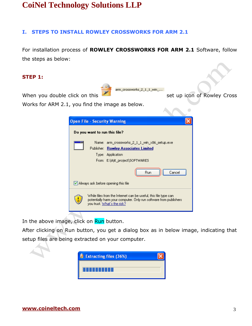#### <span id="page-3-0"></span>**I. STEPS TO INSTALL ROWLEY CROSSWORKS FOR ARM 2.1**

For installation process of **ROWLEY CROSSWORKS FOR ARM 2.1** Software, follow the steps as below:

 $1_1$  win  $\ldots$ 

#### **STEP 1:**

arm\_crossworks

When you double click on this set up icon of Rowley Cross

Works for ARM 2.1, you find the image as below.

| <b>Open File - Security Warning</b>                                                                                                                                     |  |
|-------------------------------------------------------------------------------------------------------------------------------------------------------------------------|--|
| Do you want to run this file?                                                                                                                                           |  |
| Name: arm_crossworks_2_1_1_win_x86_setup.exe<br>Publisher: Rowley Associates Limited<br>Type: Application<br>From: E:\Ajit_project\SOFTWARES                            |  |
| Cancel<br>Run.<br>∣✔  Always ask before opening this file                                                                                                               |  |
| While files from the Internet can be useful, this file type can \,<br>potentially harm your computer. Only run software from publishers.<br>you trust. What's the risk? |  |

In the above image, click on Run button.

After clicking on Run button, you get a dialog box as in below image, indicating that setup files are being extracted on your computer.

| E Extracting files (36%) |  |
|--------------------------|--|
|                          |  |
| <b>.</b>                 |  |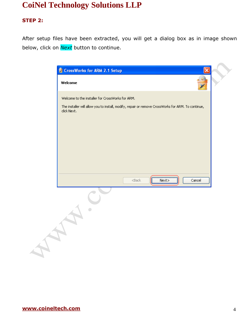### **STEP 2:**

After setup files have been extracted, you will get a dialog box as in image shown below, click on *Next* button to continue.

| Welcome to the installer for CrossWorks for ARM. | The installer will allow you to install, modify, repair or remove CrossWorks for ARM. To continue, |        |
|--------------------------------------------------|----------------------------------------------------------------------------------------------------|--------|
|                                                  |                                                                                                    |        |
|                                                  |                                                                                                    |        |
|                                                  |                                                                                                    |        |
|                                                  |                                                                                                    |        |
|                                                  |                                                                                                    |        |
|                                                  |                                                                                                    |        |
| $<$ Back                                         | Next                                                                                               | Cancel |
|                                                  |                                                                                                    |        |
|                                                  |                                                                                                    |        |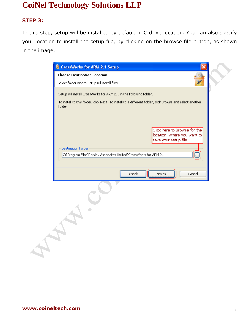### **STEP 3:**

In this step, setup will be installed by default in C drive location. You can also specify your location to install the setup file, by clicking on the browse file button, as shown in the image.

|                                    | CrossWorks for ARM 2.1 Setup                                                                             |                                                                                      |        |
|------------------------------------|----------------------------------------------------------------------------------------------------------|--------------------------------------------------------------------------------------|--------|
| <b>Choose Destination Location</b> |                                                                                                          |                                                                                      |        |
|                                    | Select folder where Setup will install files.                                                            |                                                                                      |        |
|                                    | Setup will install CrossWorks for ARM 2.1 in the following folder.                                       |                                                                                      |        |
| folder.                            | To install to this folder, click Next. To install to a different folder, click Browse and select another |                                                                                      |        |
|                                    |                                                                                                          | Click here to browse for the<br>location, where you want to<br>save your setup file. |        |
| <b>Destination Folder</b>          | C:\Program Files\Rowley Associates Limited\CrossWorks for ARM 2.1                                        |                                                                                      | m      |
|                                    | $<$ Back                                                                                                 | Next                                                                                 | Cancel |
|                                    |                                                                                                          |                                                                                      |        |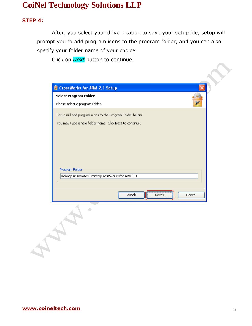#### **STEP 4:**

After, you select your drive location to save your setup file, setup will prompt you to add program icons to the program folder, and you can also specify your folder name of your choice.

Click on *Next* button to continue.

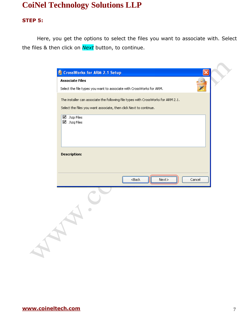#### **STEP 5:**

Here, you get the options to select the files you want to associate with. Select the files & then click on *Next* button, to continue.

| <b>Associate Files</b><br>Select the file types you want to associate with CrossWorks for ARM.<br>The installer can associate the following file types with CrossWorks for ARM 2.1.<br>Select the files you want associate, then click Next to continue.<br>$\boxtimes$ .hzp Files<br>$\boxtimes$ . hzq Files<br><b>Description:</b><br>$<$ Back<br>Cancel<br>Next |
|--------------------------------------------------------------------------------------------------------------------------------------------------------------------------------------------------------------------------------------------------------------------------------------------------------------------------------------------------------------------|
|                                                                                                                                                                                                                                                                                                                                                                    |
|                                                                                                                                                                                                                                                                                                                                                                    |
|                                                                                                                                                                                                                                                                                                                                                                    |
|                                                                                                                                                                                                                                                                                                                                                                    |
|                                                                                                                                                                                                                                                                                                                                                                    |
|                                                                                                                                                                                                                                                                                                                                                                    |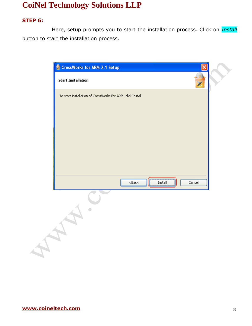#### **STEP 6:**

Here, setup prompts you to start the installation process. Click on *Install* button to start the installation process.

| <b>E</b> CrossWorks for ARM 2.1 Setup                       |          |                |        |
|-------------------------------------------------------------|----------|----------------|--------|
| <b>Start Installation</b>                                   |          |                |        |
| To start installation of CrossWorks for ARM, click Install. |          |                |        |
|                                                             |          |                |        |
|                                                             |          |                |        |
|                                                             |          |                |        |
|                                                             |          |                |        |
|                                                             |          |                |        |
|                                                             |          |                |        |
|                                                             |          |                |        |
|                                                             | $<$ Back | <u>Install</u> | Cancel |
|                                                             |          |                |        |
| $\overline{\phantom{0}}$                                    |          |                |        |
|                                                             |          |                |        |
|                                                             |          |                |        |
|                                                             |          |                |        |
|                                                             |          |                |        |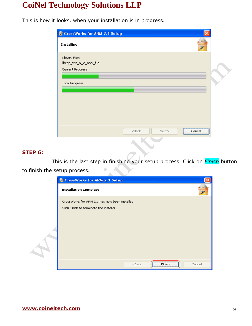This is how it looks, when your installation is in progress.

| <b>E</b> CrossWorks for ARM 2.1 Setup                                                  |  |
|----------------------------------------------------------------------------------------|--|
| Installing                                                                             |  |
| Library Files<br>libcpp_v4t_a_le_eabi_f.a<br>Current Progress<br><b>Total Progress</b> |  |
| $<$ Back<br>Next<br>Cancel                                                             |  |

#### **STEP 6:**

This is the last step in finishing your setup process. Click on *Finish* button to finish the setup process.

| CrossWorks for ARM 2.1 Setup                                                               |
|--------------------------------------------------------------------------------------------|
| <b>Installation Complete</b>                                                               |
| CrossWorks for ARM 2.1 has now been installed.<br>Click Finish to terminate the installer. |
|                                                                                            |
|                                                                                            |
| <br>$<$ Back<br>Finish<br>Cancel                                                           |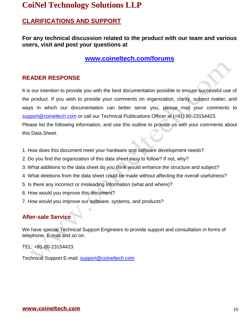### **CLARIFICATIONS AND SUPPORT**

### **For any technical discussion related to the product with our team and various users, visit and post your questions at**

**<www.coineltech.com/forums>**

### **READER RESPONSE**

It is our intention to provide you with the best documentation possible to ensure successful use of the product. If you wish to provide your comments on organization, clarity, subject matter, and ways in which our documentation can better serve you, please mail your comments to [support@coineltech.com](mailto:support@coineltech.com) or call our Technical Publications Officer at (+91) 80-23154423. Please list the following information, and use this outline to provide us with your comments about this Data Sheet.

- 1. How does this document meet your hardware and software development needs?
- 2. Do you find the organization of this data sheet easy to follow? If not, why?
- 3. What additions to the data sheet do you think would enhance the structure and subject?
- 4. What deletions from the data sheet could be made without affecting the overall usefulness?
- 5. Is there any incorrect or misleading information (what and where)?
- 6. How would you improve this document?
- 7. How would you improve our software, systems, and products?

### **After-sale Service**

We have special Technical Support Engineers to provide support and consultation in forms of telephone, E-mail and so on.

TEL: +91-80-23154423

Technical Support E-mail: [support@coineltech.com](mailto:support@coineltech.com)